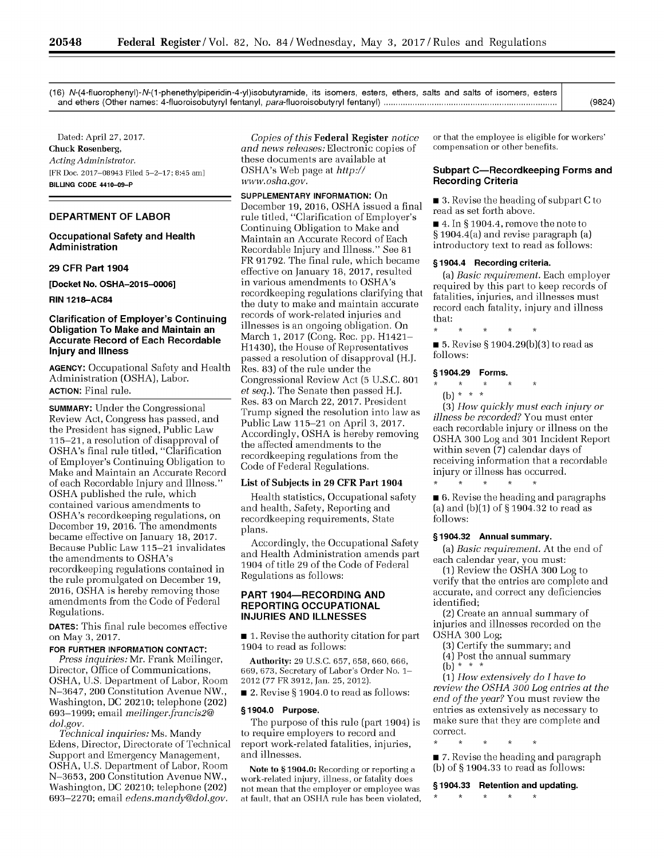(16) N-(4-fluorophenyl)-N-(1-phenethylpiperidin-4-yl)isobutyramide, its isomers, esters, ethers, salts and salts of isomers, esters and ethers (Other names: 4-fluoroisobutyryl fentanyl, para-fluoroisobutyryl fentanyl) **........................................................................**

Dated: April 27, 2017. Chuck Rosenberg, *Acting Administrator.* [FR **Doe. 2017-08943** Filed **5-2-17;** 8:45 am] **BILLING CODE 4410-09-P**

### **DEPARTMENT OF LABOR**

### **Occupational Safety and Health Administration**

## **29 CFR Part 1904**

**[Docket No. OSHA-2015-0006]**

**RIN 1218-AC84**

## **Clarification of Employer's Continuing Obligation To Make and Maintain an Accurate Record of Each Recordable Injury and Illness**

**AGENCY:** Occupational Safety and Health Administration (OSHA), Labor. **ACTION:** Final rule.

**SUMMARY:** Under the Congressional Review Act, Congress has passed, and the President has signed, Public Law 115-21, a resolution of disapproval of OSHA's final rule titled, "Clarification of Employer's Continuing Obligation to Make and Maintain an Accurate Record of each Recordable Injury and Illness." OSHA published the rule, which contained various amendments to OSHA's recordkeeping regulations, on December 19, 2016. The amendments became effective on January 18, 2017. Because Public Law 115-21 invalidates the amendments to OSHA's recordkeeping regulations contained in the rule promulgated on December 19, 2016, OSHA is hereby removing those amendments from the Code of Federal Regulations.

**DATES:** This final rule becomes effective on May 3, 2017.

**FOR FURTHER INFORMATION CONTACT:**

*Press inquiries:* Mr. Frank Meilinger, Director, Office of Communications, OSHA, U.S. Department of Labor, Room N-3647, 200 Constitution Avenue NW., Washington, DC 20210; telephone (202) 693-1999; email *meilinger.francis2@ dol.gov.*

*Technical inquiries:* Ms. Mandy Edens, Director, Directorate of Technical Support and Emergency Management, OSHA, U.S. Department of Labor, Room N-3653, 200 Constitution Avenue NW., Washington, DC 20210; telephone (202) 693-2270; email *edens.mandy@dol.gov.*

*Copies of this* Federal Register *notice and news releases:* Electronic copies of these documents are available at OSHA's Web page at *http:// www.osha.gov.*

## **SUPPLEMENTARY INFORMATION:** On

December 19, 2016, OSHA issued a final rule titled, "Clarification of Employer's Continuing Obligation to Make and Maintain an Accurate Record of Each Recordable Injury and Illness." See 81 FR 91792. The final rule, which became effective on January 18, 2017, resulted in various amendments to OSHA's recordkeeping regulations clarifying that the duty to make and maintain accurate records of work-related injuries and illnesses is an ongoing obligation. On March 1, 2017 (Cong. Rec. pp. H1421- H1430), the House of Representatives passed a resolution of disapproval (H.J. Res. 83) of the rule under the Congressional Review Act (5 U.S.C. 801 *et seq.).* The Senate then passed H.J. Res. 83 on March 22, 2017. President Trump signed the resolution into law as Public Law 115-21 on April 3, 2017. Accordingly, OSHA is hereby removing the affected amendments to the recordkeeping regulations from the Code of Federal Regulations.

### List of Subjects in **29** CFR Part 1904

Health statistics, Occupational safety and health, Safety, Reporting and recordkeeping requirements, State plans.

Accordingly, the Occupational Safety and Health Administration amends part 1904 of title 29 of the Code of Federal Regulations as follows:

## **PART 1904-RECORDING AND REPORTING OCCUPATIONAL INJURIES AND ILLNESSES**

■ 1. Revise the authority citation for part 1904 to read as follows:

Authority: 29 U.S.C. 657, 658, 660, 666, 669, 673, Secretary of Labor's Order No. **1-** 2012 (77 FR 3912, Jan. 25, 2012).

 $\blacksquare$  2. Revise § 1904.0 to read as follows:

### **§** 1904.0 Purpose.

The purpose of this rule (part 1904) is to require employers to record and report work-related fatalities, injuries, and illnesses.

Note to **§** 1904.0: Recording or reporting a work-related injury, illness, or fatality does not mean that the employer or employee was at fault, that an OSHA rule has been violated, or that the employee is eligible for workers' compensation or other benefits.

# **Subpart C-Recordkeeping Forms and Recording Criteria**

 $\blacksquare$  3. Revise the heading of subpart C to read as set forth above.

 $\blacksquare$  4. In § 1904.4, remove the note to § 1904.4(a) and revise paragraph (a) introductory text to read as follows:

### **§ 1904.4 Recording criteria.**

(a) *Basic requirement.* Each employer required by this part to keep records of fatalities, injuries, and illnesses must record each fatality, injury and illness that:

■ 5. Revise § 1904.29(b)(3) to read as follows:

#### **§** 1904.29 Forms.

## **(b)\*** \* \*  $\star$

(3) *How quickly must each injury or illness be recorded?* You must enter each recordable injury or illness on the OSHA 300 Log and 301 Incident Report within seven (7) calendar days of receiving information that a recordable injury or illness has occurred.  $\star$  $\Delta \sigma$ 

 $\blacksquare$  6. Revise the heading and paragraphs (a) and (b)(1) of § 1904.32 to read as follows:

### **§1904.32 Annual summary.**

(a) *Basic requirement.* At the end of each calendar year, you must:

(1) Review the OSHA 300 Log to verify that the entries are complete and accurate, and correct any deficiencies identified;

(2) Create an annual summary of injuries and illnesses recorded on the OSHA 300 Log;

- (3) Certify the summary; and
- (4) Post the annual summary
- (b) \* \* \*

 $\star$ 

(1) *How extensively do I have to review the OSHA 300 Log entries at the end of the year?* You must review the entries as extensively as necessary to make sure that they are complete and correct.

■ 7. Revise the heading and paragraph (b) of § 1904.33 to read as follows:

#### **§1904.33 Retention and updating.**

 $\star$  $\star$  $\star$  $\star$  (9824)